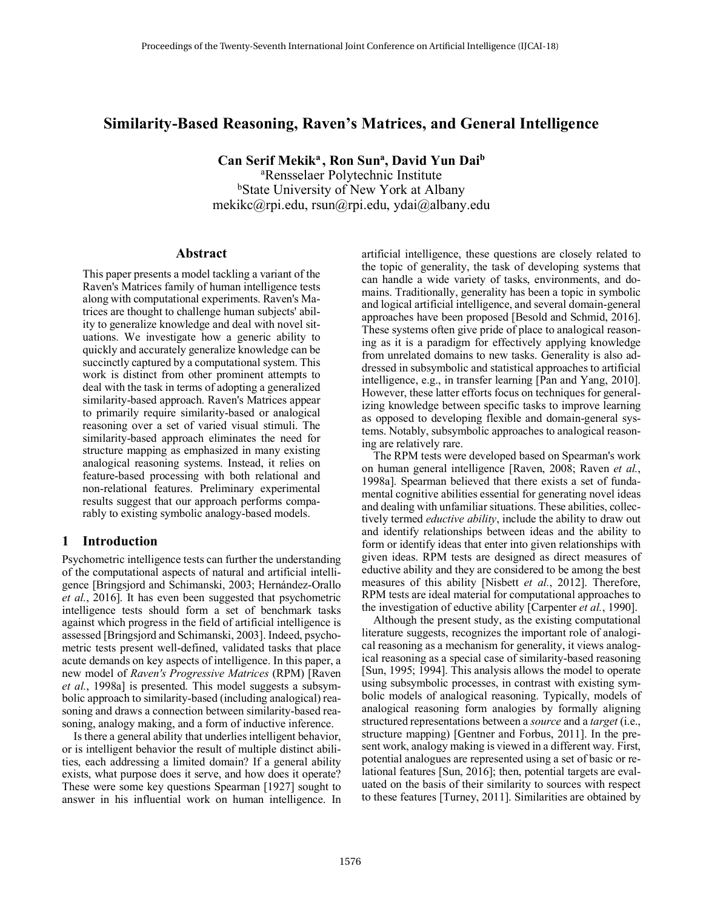# **Similarity-Based Reasoning, Raven's Matrices, and General Intelligence**

**Can Serif Mekika , Ron Suna, David Yun Daib**  a Rensselaer Polytechnic Institute **bState University of New York at Albany** mekikc@rpi.edu, rsun@rpi.edu, ydai@albany.edu

## **Abstract**

This paper presents a model tackling a variant of the Raven's Matrices family of human intelligence tests along with computational experiments. Raven's Matrices are thought to challenge human subjects' ability to generalize knowledge and deal with novel situations. We investigate how a generic ability to quickly and accurately generalize knowledge can be succinctly captured by a computational system. This work is distinct from other prominent attempts to deal with the task in terms of adopting a generalized similarity-based approach. Raven's Matrices appear to primarily require similarity-based or analogical reasoning over a set of varied visual stimuli. The similarity-based approach eliminates the need for structure mapping as emphasized in many existing analogical reasoning systems. Instead, it relies on feature-based processing with both relational and non-relational features. Preliminary experimental results suggest that our approach performs comparably to existing symbolic analogy-based models.

## **1 Introduction**

Psychometric intelligence tests can further the understanding of the computational aspects of natural and artificial intelligence [Bringsjord and Schimanski, 2003; Hernández-Orallo *et al.*, 2016]. It has even been suggested that psychometric intelligence tests should form a set of benchmark tasks against which progress in the field of artificial intelligence is assessed [Bringsjord and Schimanski, 2003]. Indeed, psychometric tests present well-defined, validated tasks that place acute demands on key aspects of intelligence. In this paper, a new model of *Raven's Progressive Matrices* (RPM) [Raven *et al.*, 1998a] is presented. This model suggests a subsymbolic approach to similarity-based (including analogical) reasoning and draws a connection between similarity-based reasoning, analogy making, and a form of inductive inference.

Is there a general ability that underlies intelligent behavior, or is intelligent behavior the result of multiple distinct abilities, each addressing a limited domain? If a general ability exists, what purpose does it serve, and how does it operate? These were some key questions Spearman [1927] sought to answer in his influential work on human intelligence. In artificial intelligence, these questions are closely related to the topic of generality, the task of developing systems that can handle a wide variety of tasks, environments, and domains. Traditionally, generality has been a topic in symbolic and logical artificial intelligence, and several domain-general approaches have been proposed [Besold and Schmid, 2016]. These systems often give pride of place to analogical reasoning as it is a paradigm for effectively applying knowledge from unrelated domains to new tasks. Generality is also addressed in subsymbolic and statistical approaches to artificial intelligence, e.g., in transfer learning [Pan and Yang, 2010]. However, these latter efforts focus on techniques for generalizing knowledge between specific tasks to improve learning as opposed to developing flexible and domain-general systems. Notably, subsymbolic approaches to analogical reasoning are relatively rare.

The RPM tests were developed based on Spearman's work on human general intelligence [Raven, 2008; Raven *et al.*, 1998a]. Spearman believed that there exists a set of fundamental cognitive abilities essential for generating novel ideas and dealing with unfamiliar situations. These abilities, collectively termed *eductive ability*, include the ability to draw out and identify relationships between ideas and the ability to form or identify ideas that enter into given relationships with given ideas. RPM tests are designed as direct measures of eductive ability and they are considered to be among the best measures of this ability [Nisbett *et al.*, 2012]. Therefore, RPM tests are ideal material for computational approaches to the investigation of eductive ability [Carpenter *et al.*, 1990].

Although the present study, as the existing computational literature suggests, recognizes the important role of analogical reasoning as a mechanism for generality, it views analogical reasoning as a special case of similarity-based reasoning [Sun, 1995; 1994]. This analysis allows the model to operate using subsymbolic processes, in contrast with existing symbolic models of analogical reasoning. Typically, models of analogical reasoning form analogies by formally aligning structured representations between a *source* and a *target* (i.e., structure mapping) [Gentner and Forbus, 2011]. In the present work, analogy making is viewed in a different way. First, potential analogues are represented using a set of basic or relational features [Sun, 2016]; then, potential targets are evaluated on the basis of their similarity to sources with respect to these features [Turney, 2011]. Similarities are obtained by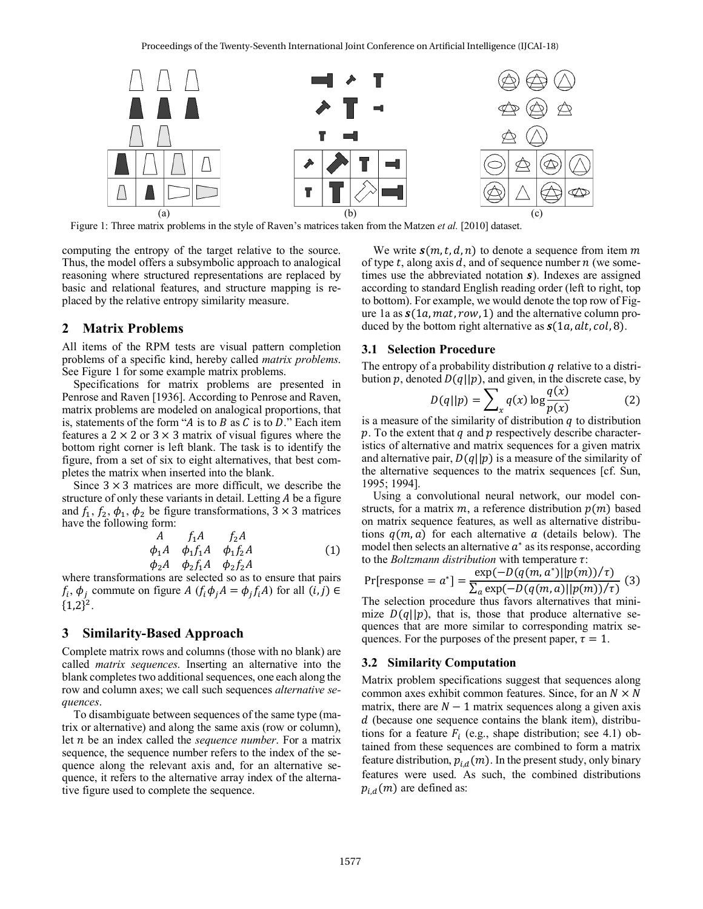

Figure 1: Three matrix problems in the style of Raven's matrices taken from the Matzen *et al.* [2010] dataset.

computing the entropy of the target relative to the source. Thus, the model offers a subsymbolic approach to analogical reasoning where structured representations are replaced by basic and relational features, and structure mapping is replaced by the relative entropy similarity measure.

## **2 Matrix Problems**

All items of the RPM tests are visual pattern completion problems of a specific kind, hereby called *matrix problems*. See Figure 1 for some example matrix problems.

Specifications for matrix problems are presented in Penrose and Raven [1936]. According to Penrose and Raven, matrix problems are modeled on analogical proportions, that is, statements of the form "A is to  $B$  as  $C$  is to  $D$ ." Each item features a  $2 \times 2$  or  $3 \times 3$  matrix of visual figures where the bottom right corner is left blank. The task is to identify the figure, from a set of six to eight alternatives, that best completes the matrix when inserted into the blank.

Since  $3 \times 3$  matrices are more difficult, we describe the structure of only these variants in detail. Letting  $A$  be a figure and  $f_1, f_2, \phi_1, \phi_2$  be figure transformations,  $3 \times 3$  matrices have the following form:

$$
A \t f_1 A \t f_2 A \n\phi_1 A \t \phi_1 f_1 A \t \phi_1 f_2 A \n\phi_2 A \t \phi_2 f_1 A \t \phi_2 f_2 A
$$
\n(1)

where transformations are selected so as to ensure that pairs  $f_i$ ,  $\phi_i$  commute on figure A  $(f_i \phi_i A = \phi_i f_i A)$  for all  $(i, j) \in$  ${1,2}^2$ .

#### **3 Similarity-Based Approach**

Complete matrix rows and columns (those with no blank) are called *matrix sequences*. Inserting an alternative into the blank completes two additional sequences, one each along the row and column axes; we call such sequences *alternative sequences*.

To disambiguate between sequences of the same type (matrix or alternative) and along the same axis (row or column), let *n* be an index called the *sequence number*. For a matrix sequence, the sequence number refers to the index of the sequence along the relevant axis and, for an alternative sequence, it refers to the alternative array index of the alternative figure used to complete the sequence.

We write  $s(m, t, d, n)$  to denote a sequence from item m of type t, along axis d, and of sequence number  $n$  (we sometimes use the abbreviated notation  $s$ ). Indexes are assigned according to standard English reading order (left to right, top to bottom). For example, we would denote the top row of Figure 1a as  $s(1a, mat, row, 1)$  and the alternative column produced by the bottom right alternative as  $s(1a, alt, col, 8)$ .

### **3.1 Selection Procedure**

The entropy of a probability distribution  $q$  relative to a distribution p, denoted  $D(q||p)$ , and given, in the discrete case, by

$$
D(q||p) = \sum_{x} q(x) \log \frac{q(x)}{p(x)} \tag{2}
$$

is a measure of the similarity of distribution  $q$  to distribution  $p$ . To the extent that  $q$  and  $p$  respectively describe characteristics of alternative and matrix sequences for a given matrix and alternative pair,  $D(q||p)$  is a measure of the similarity of the alternative sequences to the matrix sequences [cf. Sun, 1995; 1994].

Using a convolutional neural network, our model constructs, for a matrix m, a reference distribution  $p(m)$  based on matrix sequence features, as well as alternative distributions  $q(m, a)$  for each alternative a (details below). The model then selects an alternative  $a^*$  as its response, according to the *Boltzmann distribution* with temperature  $\tau$ :

Pr[response = 
$$
a^* = \frac{\exp(-D(q(m, a^*)||p(m))/\tau)}{\sum_a \exp(-D(q(m, a)||p(m))/\tau)}
$$
 (3)

The selection procedure thus favors alternatives that minimize  $D(q||p)$ , that is, those that produce alternative sequences that are more similar to corresponding matrix sequences. For the purposes of the present paper,  $\tau = 1$ .

#### **3.2 Similarity Computation**

Matrix problem specifications suggest that sequences along common axes exhibit common features. Since, for an  $N \times N$ matrix, there are  $N - 1$  matrix sequences along a given axis  $d$  (because one sequence contains the blank item), distributions for a feature  $F_i$  (e.g., shape distribution; see 4.1) obtained from these sequences are combined to form a matrix feature distribution,  $p_{i,d}(m)$ . In the present study, only binary features were used. As such, the combined distributions  $p_{i,d}(m)$  are defined as: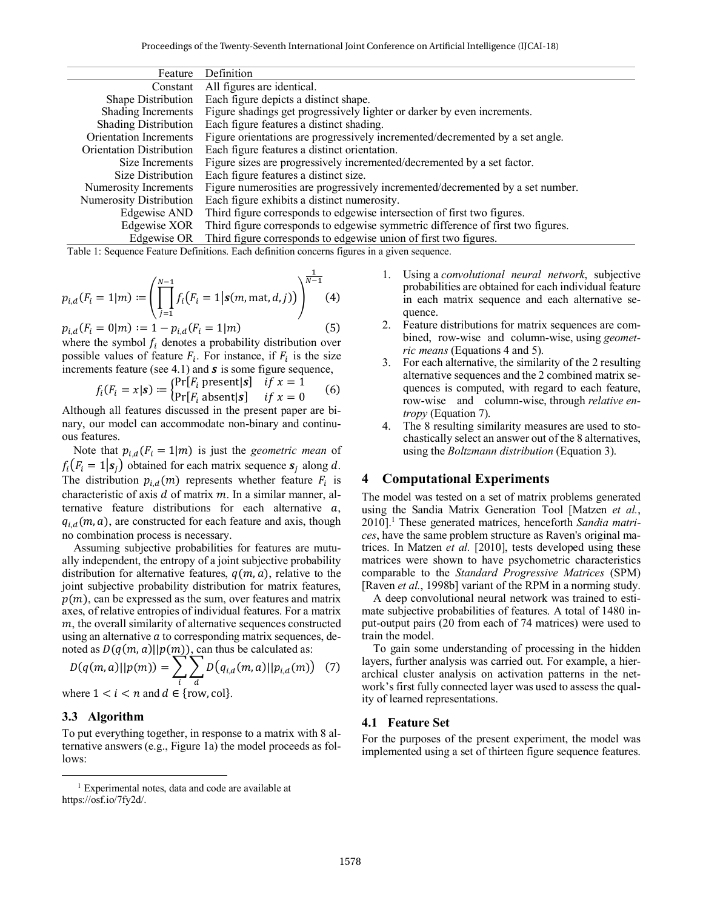| Feature                         | Definition                                                                      |
|---------------------------------|---------------------------------------------------------------------------------|
| Constant                        | All figures are identical.                                                      |
| Shape Distribution              | Each figure depicts a distinct shape.                                           |
| Shading Increments              | Figure shadings get progressively lighter or darker by even increments.         |
| <b>Shading Distribution</b>     | Each figure features a distinct shading.                                        |
| <b>Orientation Increments</b>   | Figure orientations are progressively incremented/decremented by a set angle.   |
| <b>Orientation Distribution</b> | Each figure features a distinct orientation.                                    |
| Size Increments                 | Figure sizes are progressively incremented/decremented by a set factor.         |
| Size Distribution               | Each figure features a distinct size.                                           |
| Numerosity Increments           | Figure numerosities are progressively incremented/decremented by a set number.  |
| <b>Numerosity Distribution</b>  | Each figure exhibits a distinct numerosity.                                     |
| Edgewise AND                    | Third figure corresponds to edgewise intersection of first two figures.         |
| Edgewise XOR                    | Third figure corresponds to edgewise symmetric difference of first two figures. |
| Edgewise OR                     | Third figure corresponds to edgewise union of first two figures.                |

Table 1: Sequence Feature Definitions. Each definition concerns figures in a given sequence.

$$
p_{i,d}(F_i = 1|m) := \left(\prod_{j=1}^{N-1} f_i(F_i = 1 | \mathbf{s}(m, \text{mat}, d, j))\right)^{\frac{1}{N-1}}(4)
$$

$$
p_{i,d}(F_i = 0|m) := 1 - p_{i,d}(F_i = 1|m)
$$
\n(5)

where the symbol  $f_i$  denotes a probability distribution over possible values of feature  $F_i$ . For instance, if  $F_i$  is the size increments feature (see 4.1) and  $s$  is some figure sequence,

$$
f_i(F_i = x | \mathbf{s}) := \begin{cases} Pr[F_i \text{ present} | \mathbf{s}] & \text{if } x = 1 \\ Pr[F_i \text{ absent} | \mathbf{s}] & \text{if } x = 0 \end{cases}
$$
 (6)

Although all features discussed in the present paper are binary, our model can accommodate non-binary and continuous features.

Note that  $p_{i,d}(F_i = 1|m)$  is just the *geometric mean* of  $f_i$  ( $F_i = 1|\mathbf{s}_i$ ) obtained for each matrix sequence  $\mathbf{s}_i$  along d. The distribution  $p_{i,d}(m)$  represents whether feature  $F_i$  is characteristic of axis  $d$  of matrix  $m$ . In a similar manner, alternative feature distributions for each alternative  $a$ ,  $q_{i,d}(m, a)$ , are constructed for each feature and axis, though no combination process is necessary.

Assuming subjective probabilities for features are mutually independent, the entropy of a joint subjective probability distribution for alternative features,  $q(m, a)$ , relative to the joint subjective probability distribution for matrix features,  $p(m)$ , can be expressed as the sum, over features and matrix axes, of relative entropies of individual features. For a matrix  $m$ , the overall similarity of alternative sequences constructed using an alternative  $a$  to corresponding matrix sequences, denoted as  $D(q(m, a)||p(m))$ , can thus be calculated as:

$$
D(q(m,a)||p(m)) = \sum_{i} \sum_{d} D(q_{i,d}(m,a)||p_{i,d}(m)) \quad (7)
$$

where  $1 \leq i \leq n$  and  $d \in \{row, col\}$ .

### **3.3 Algorithm**

To put everything together, in response to a matrix with 8 alternative answers (e.g., Figure 1a) the model proceeds as follows:

- 1. Using a *convolutional neural network*, subjective probabilities are obtained for each individual feature in each matrix sequence and each alternative sequence.
- 2. Feature distributions for matrix sequences are combined, row-wise and column-wise, using *geometric means* (Equations 4 and 5).
- 3. For each alternative, the similarity of the 2 resulting alternative sequences and the 2 combined matrix sequences is computed, with regard to each feature, row-wise and column-wise, through *relative entropy* (Equation 7).
- 4. The 8 resulting similarity measures are used to stochastically select an answer out of the 8 alternatives, using the *Boltzmann distribution* (Equation 3).

### **4 Computational Experiments**

The model was tested on a set of matrix problems generated using the Sandia Matrix Generation Tool [Matzen *et al.*, 2010].<sup>1</sup> These generated matrices, henceforth Sandia matri*ces*, have the same problem structure as Raven's original matrices. In Matzen *et al.* [2010], tests developed using these matrices were shown to have psychometric characteristics comparable to the *Standard Progressive Matrices* (SPM) [Raven *et al.*, 1998b] variant of the RPM in a norming study.

A deep convolutional neural network was trained to estimate subjective probabilities of features. A total of 1480 input-output pairs (20 from each of 74 matrices) were used to train the model.

To gain some understanding of processing in the hidden layers, further analysis was carried out. For example, a hierarchical cluster analysis on activation patterns in the network's first fully connected layer was used to assess the quality of learned representations.

#### **4.1 Feature Set**

For the purposes of the present experiment, the model was implemented using a set of thirteen figure sequence features.

 <sup>1</sup> Experimental notes, data and code are available at https://osf.io/7fy2d/.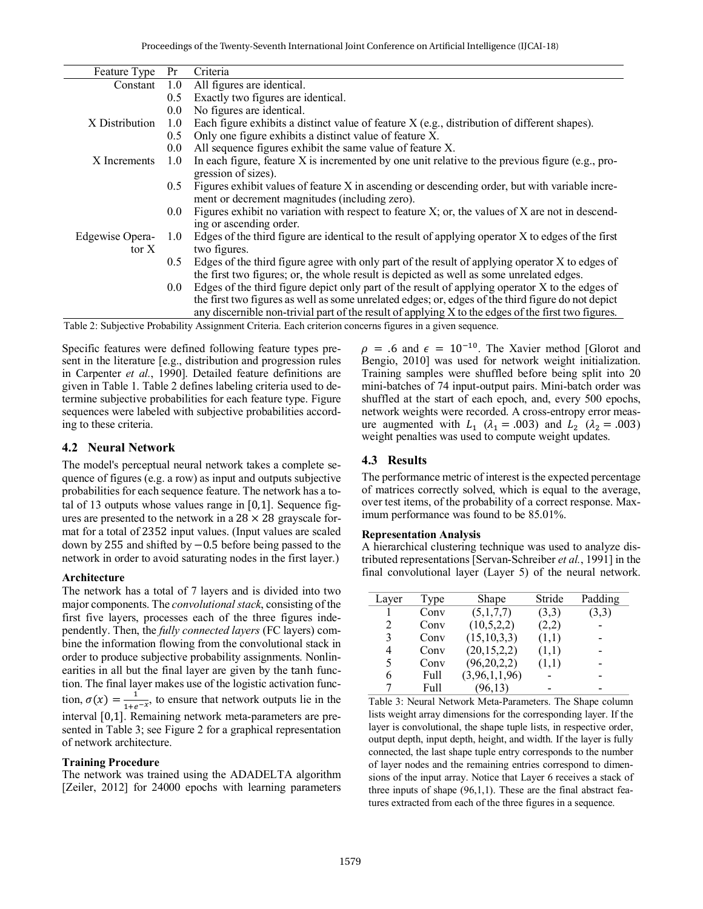| Feature Type    | Pr               | Criteria                                                                                            |
|-----------------|------------------|-----------------------------------------------------------------------------------------------------|
| Constant        | 1.0              | All figures are identical.                                                                          |
|                 | 0.5              | Exactly two figures are identical.                                                                  |
|                 | 0.0              | No figures are identical.                                                                           |
| X Distribution  | 1.0              | Each figure exhibits a distinct value of feature X (e.g., distribution of different shapes).        |
|                 | 0.5              | Only one figure exhibits a distinct value of feature X.                                             |
|                 | 0.0              | All sequence figures exhibit the same value of feature X.                                           |
| X Increments    | 1.0              | In each figure, feature X is incremented by one unit relative to the previous figure (e.g., pro-    |
|                 |                  | gression of sizes).                                                                                 |
|                 | $0.5^{\circ}$    | Figures exhibit values of feature X in ascending or descending order, but with variable incre-      |
|                 |                  | ment or decrement magnitudes (including zero).                                                      |
|                 | 0.0 <sub>1</sub> | Figures exhibit no variation with respect to feature X; or, the values of X are not in descend-     |
|                 |                  | ing or ascending order.                                                                             |
| Edgewise Opera- | 1.0              | Edges of the third figure are identical to the result of applying operator X to edges of the first  |
| tor X           |                  | two figures.                                                                                        |
|                 | 0.5              | Edges of the third figure agree with only part of the result of applying operator X to edges of     |
|                 |                  | the first two figures; or, the whole result is depicted as well as some unrelated edges.            |
|                 | 0.0 <sub>1</sub> | Edges of the third figure depict only part of the result of applying operator X to the edges of     |
|                 |                  | the first two figures as well as some unrelated edges; or, edges of the third figure do not depict  |
|                 |                  | any discernible non-trivial part of the result of applying X to the edges of the first two figures. |

Table 2: Subjective Probability Assignment Criteria. Each criterion concerns figures in a given sequence.

Specific features were defined following feature types present in the literature [e.g., distribution and progression rules in Carpenter *et al.*, 1990]. Detailed feature definitions are given in Table 1. Table 2 defines labeling criteria used to determine subjective probabilities for each feature type. Figure sequences were labeled with subjective probabilities according to these criteria.

## **4.2 Neural Network**

The model's perceptual neural network takes a complete sequence of figures (e.g. a row) as input and outputs subjective probabilities for each sequence feature. The network has a total of 13 outputs whose values range in [0,1]. Sequence figures are presented to the network in a  $28 \times 28$  grayscale format for a total of 2352 input values. (Input values are scaled down by 255 and shifted by −0.5 before being passed to the network in order to avoid saturating nodes in the first layer.)

### **Architecture**

The network has a total of 7 layers and is divided into two major components. The *convolutional stack*, consisting of the first five layers, processes each of the three figures independently. Then, the *fully connected layers* (FC layers) combine the information flowing from the convolutional stack in order to produce subjective probability assignments. Nonlinearities in all but the final layer are given by the tanh function. The final layer makes use of the logistic activation function,  $\sigma(x) = \frac{1}{1+e^{-x}}$ , to ensure that network outputs lie in the interval [0,1]. Remaining network meta-parameters are presented in Table 3; see Figure 2 for a graphical representation of network architecture.

### **Training Procedure**

The network was trained using the ADADELTA algorithm [Zeiler, 2012] for 24000 epochs with learning parameters  $\rho = .6$  and  $\epsilon = 10^{-10}$ . The Xavier method [Glorot and Bengio, 2010] was used for network weight initialization. Training samples were shuffled before being split into 20 mini-batches of 74 input-output pairs. Mini-batch order was shuffled at the start of each epoch, and, every 500 epochs, network weights were recorded. A cross-entropy error measure augmented with  $L_1$  ( $\lambda_1$  = .003) and  $L_2$  ( $\lambda_2$  = .003) weight penalties was used to compute weight updates.

## **4.3 Results**

The performance metric of interest is the expected percentage of matrices correctly solved, which is equal to the average, over test items, of the probability of a correct response. Maximum performance was found to be 85.01%.

#### **Representation Analysis**

A hierarchical clustering technique was used to analyze distributed representations [Servan-Schreiber *et al.*, 1991] in the final convolutional layer (Layer 5) of the neural network.

| Layer                         | Type | Shape          | Stride | Padding |
|-------------------------------|------|----------------|--------|---------|
|                               | Conv | (5,1,7,7)      | (3,3)  | (3,3)   |
| $\mathfrak{D}_{\mathfrak{p}}$ | Conv | (10,5,2,2)     | (2,2)  |         |
| 3                             | Conv | (15, 10, 3, 3) | (1,1)  |         |
| 4                             | Conv | (20, 15, 2, 2) | (1,1)  |         |
| 5                             | Conv | (96, 20, 2, 2) | (1,1)  |         |
| 6                             | Full | (3,96,1,1,96)  |        |         |
|                               | Full | (96, 13)       |        |         |

Table 3: Neural Network Meta-Parameters. The Shape column lists weight array dimensions for the corresponding layer. If the layer is convolutional, the shape tuple lists, in respective order, output depth, input depth, height, and width. If the layer is fully connected, the last shape tuple entry corresponds to the number of layer nodes and the remaining entries correspond to dimensions of the input array. Notice that Layer 6 receives a stack of three inputs of shape (96,1,1). These are the final abstract features extracted from each of the three figures in a sequence.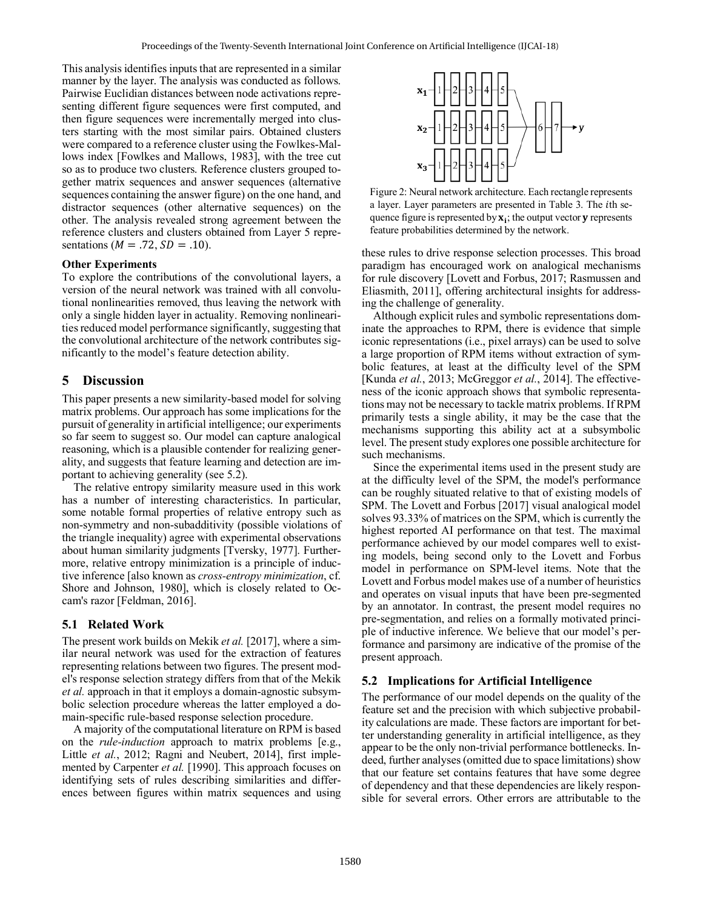This analysis identifies inputs that are represented in a similar manner by the layer. The analysis was conducted as follows. Pairwise Euclidian distances between node activations representing different figure sequences were first computed, and then figure sequences were incrementally merged into clusters starting with the most similar pairs. Obtained clusters were compared to a reference cluster using the Fowlkes-Mallows index [Fowlkes and Mallows, 1983], with the tree cut so as to produce two clusters. Reference clusters grouped together matrix sequences and answer sequences (alternative sequences containing the answer figure) on the one hand, and distractor sequences (other alternative sequences) on the other. The analysis revealed strong agreement between the reference clusters and clusters obtained from Layer 5 representations ( $M = .72$ ,  $SD = .10$ ).

#### **Other Experiments**

To explore the contributions of the convolutional layers, a version of the neural network was trained with all convolutional nonlinearities removed, thus leaving the network with only a single hidden layer in actuality. Removing nonlinearities reduced model performance significantly, suggesting that the convolutional architecture of the network contributes significantly to the model's feature detection ability.

### **5 Discussion**

This paper presents a new similarity-based model for solving matrix problems. Our approach has some implications for the pursuit of generality in artificial intelligence; our experiments so far seem to suggest so. Our model can capture analogical reasoning, which is a plausible contender for realizing generality, and suggests that feature learning and detection are important to achieving generality (see 5.2).

The relative entropy similarity measure used in this work has a number of interesting characteristics. In particular, some notable formal properties of relative entropy such as non-symmetry and non-subadditivity (possible violations of the triangle inequality) agree with experimental observations about human similarity judgments [Tversky, 1977]. Furthermore, relative entropy minimization is a principle of inductive inference [also known as *cross-entropy minimization*, cf. Shore and Johnson, 1980], which is closely related to Occam's razor [Feldman, 2016].

### **5.1 Related Work**

The present work builds on Mekik *et al.* [2017], where a similar neural network was used for the extraction of features representing relations between two figures. The present model's response selection strategy differs from that of the Mekik *et al.* approach in that it employs a domain-agnostic subsymbolic selection procedure whereas the latter employed a domain-specific rule-based response selection procedure.

A majority of the computational literature on RPM is based on the *rule-induction* approach to matrix problems [e.g., Little *et al.*, 2012; Ragni and Neubert, 2014], first implemented by Carpenter *et al.* [1990]. This approach focuses on identifying sets of rules describing similarities and differences between figures within matrix sequences and using



Figure 2: Neural network architecture. Each rectangle represents a layer. Layer parameters are presented in Table 3. The th sequence figure is represented by  $x_i$ ; the output vector **y** represents feature probabilities determined by the network.

these rules to drive response selection processes. This broad paradigm has encouraged work on analogical mechanisms for rule discovery [Lovett and Forbus, 2017; Rasmussen and Eliasmith, 2011], offering architectural insights for addressing the challenge of generality.

Although explicit rules and symbolic representations dominate the approaches to RPM, there is evidence that simple iconic representations (i.e., pixel arrays) can be used to solve a large proportion of RPM items without extraction of symbolic features, at least at the difficulty level of the SPM [Kunda *et al.*, 2013; McGreggor *et al.*, 2014]. The effectiveness of the iconic approach shows that symbolic representations may not be necessary to tackle matrix problems. If RPM primarily tests a single ability, it may be the case that the mechanisms supporting this ability act at a subsymbolic level. The present study explores one possible architecture for such mechanisms.

Since the experimental items used in the present study are at the difficulty level of the SPM, the model's performance can be roughly situated relative to that of existing models of SPM. The Lovett and Forbus [2017] visual analogical model solves 93.33% of matrices on the SPM, which is currently the highest reported AI performance on that test. The maximal performance achieved by our model compares well to existing models, being second only to the Lovett and Forbus model in performance on SPM-level items. Note that the Lovett and Forbus model makes use of a number of heuristics and operates on visual inputs that have been pre-segmented by an annotator. In contrast, the present model requires no pre-segmentation, and relies on a formally motivated principle of inductive inference. We believe that our model's performance and parsimony are indicative of the promise of the present approach.

### **5.2 Implications for Artificial Intelligence**

The performance of our model depends on the quality of the feature set and the precision with which subjective probability calculations are made. These factors are important for better understanding generality in artificial intelligence, as they appear to be the only non-trivial performance bottlenecks. Indeed, further analyses (omitted due to space limitations) show that our feature set contains features that have some degree of dependency and that these dependencies are likely responsible for several errors. Other errors are attributable to the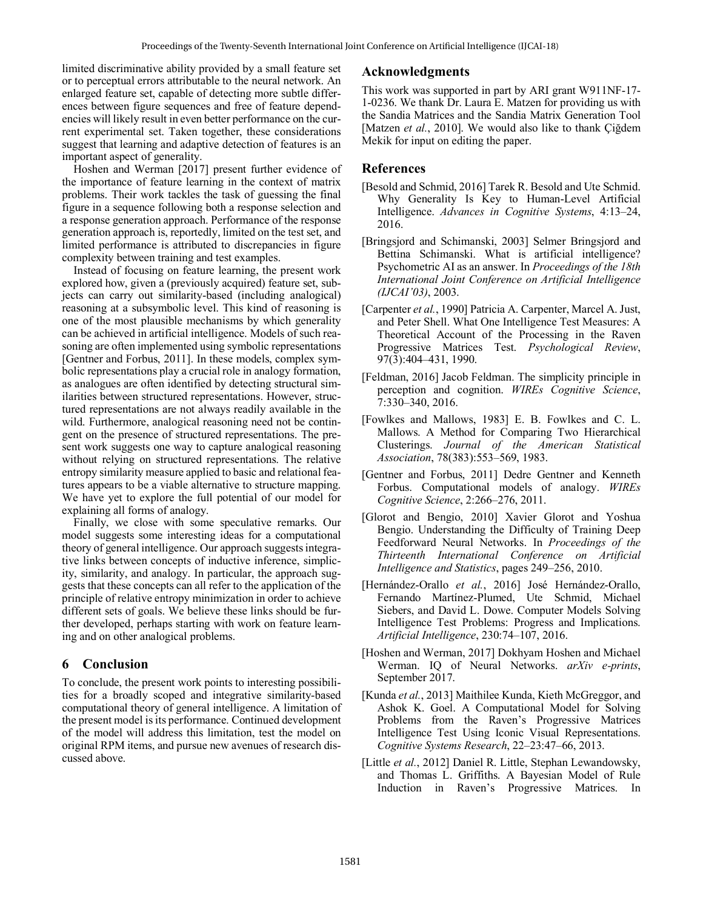limited discriminative ability provided by a small feature set or to perceptual errors attributable to the neural network. An enlarged feature set, capable of detecting more subtle differences between figure sequences and free of feature dependencies will likely result in even better performance on the current experimental set. Taken together, these considerations suggest that learning and adaptive detection of features is an important aspect of generality.

 Hoshen and Werman [2017] present further evidence of the importance of feature learning in the context of matrix problems. Their work tackles the task of guessing the final figure in a sequence following both a response selection and a response generation approach. Performance of the response generation approach is, reportedly, limited on the test set, and limited performance is attributed to discrepancies in figure complexity between training and test examples.

Instead of focusing on feature learning, the present work explored how, given a (previously acquired) feature set, subjects can carry out similarity-based (including analogical) reasoning at a subsymbolic level. This kind of reasoning is one of the most plausible mechanisms by which generality can be achieved in artificial intelligence. Models of such reasoning are often implemented using symbolic representations [Gentner and Forbus, 2011]. In these models, complex symbolic representations play a crucial role in analogy formation, as analogues are often identified by detecting structural similarities between structured representations. However, structured representations are not always readily available in the wild. Furthermore, analogical reasoning need not be contingent on the presence of structured representations. The present work suggests one way to capture analogical reasoning without relying on structured representations. The relative entropy similarity measure applied to basic and relational features appears to be a viable alternative to structure mapping. We have yet to explore the full potential of our model for explaining all forms of analogy.

Finally, we close with some speculative remarks. Our model suggests some interesting ideas for a computational theory of general intelligence. Our approach suggests integrative links between concepts of inductive inference, simplicity, similarity, and analogy. In particular, the approach suggests that these concepts can all refer to the application of the principle of relative entropy minimization in order to achieve different sets of goals. We believe these links should be further developed, perhaps starting with work on feature learning and on other analogical problems.

# **6 Conclusion**

To conclude, the present work points to interesting possibilities for a broadly scoped and integrative similarity-based computational theory of general intelligence. A limitation of the present model is its performance. Continued development of the model will address this limitation, test the model on original RPM items, and pursue new avenues of research discussed above.

## **Acknowledgments**

This work was supported in part by ARI grant W911NF-17- 1-0236. We thank Dr. Laura E. Matzen for providing us with the Sandia Matrices and the Sandia Matrix Generation Tool [Matzen *et al.*, 2010]. We would also like to thank Çiğdem Mekik for input on editing the paper.

# **References**

- [Besold and Schmid, 2016] Tarek R. Besold and Ute Schmid. Why Generality Is Key to Human-Level Artificial Intelligence. *Advances in Cognitive Systems*, 4:13–24, 2016.
- [Bringsjord and Schimanski, 2003] Selmer Bringsjord and Bettina Schimanski. What is artificial intelligence? Psychometric AI as an answer. In *Proceedings of the 18th International Joint Conference on Artificial Intelligence (IJCAI'03)*, 2003.
- [Carpenter *et al.*, 1990] Patricia A. Carpenter, Marcel A. Just, and Peter Shell. What One Intelligence Test Measures: A Theoretical Account of the Processing in the Raven Progressive Matrices Test. *Psychological Review*, 97(3):404–431, 1990.
- [Feldman, 2016] Jacob Feldman. The simplicity principle in perception and cognition. *WIREs Cognitive Science*, 7:330–340, 2016.
- [Fowlkes and Mallows, 1983] E. B. Fowlkes and C. L. Mallows. A Method for Comparing Two Hierarchical Clusterings. *Journal of the American Statistical Association*, 78(383):553–569, 1983.
- [Gentner and Forbus, 2011] Dedre Gentner and Kenneth Forbus. Computational models of analogy. *WIREs Cognitive Science*, 2:266–276, 2011.
- [Glorot and Bengio, 2010] Xavier Glorot and Yoshua Bengio. Understanding the Difficulty of Training Deep Feedforward Neural Networks. In *Proceedings of the Thirteenth International Conference on Artificial Intelligence and Statistics*, pages 249–256, 2010.
- [Hernández-Orallo *et al.*, 2016] José Hernández-Orallo, Fernando Martínez-Plumed, Ute Schmid, Michael Siebers, and David L. Dowe. Computer Models Solving Intelligence Test Problems: Progress and Implications. *Artificial Intelligence*, 230:74–107, 2016.
- [Hoshen and Werman, 2017] Dokhyam Hoshen and Michael Werman. IQ of Neural Networks. *arXiv e-prints*, September 2017.
- [Kunda et al., 2013] Maithilee Kunda, Kieth McGreggor, and Ashok K. Goel. A Computational Model for Solving Problems from the Raven's Progressive Matrices Intelligence Test Using Iconic Visual Representations. *Cognitive Systems Research*, 22–23:47–66, 2013.
- [Little *et al.*, 2012] Daniel R. Little, Stephan Lewandowsky, and Thomas L. Griffiths. A Bayesian Model of Rule Induction in Raven's Progressive Matrices. In